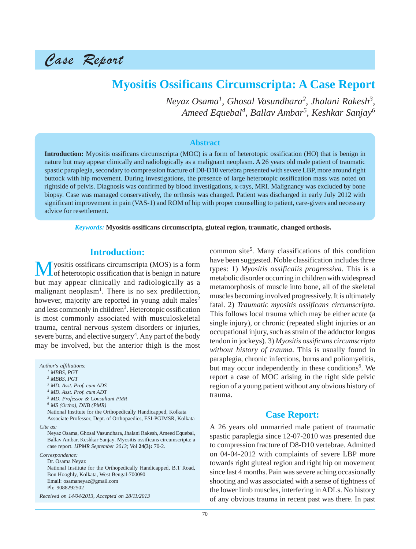Case Report

# **Myositis Ossificans Circumscripta: A Case Report**

*Neyaz Osama1 , Ghosal Vasundhara<sup>2</sup> , Jhalani Rakesh3, Ameed Equebal4 , Ballav Ambar<sup>5</sup> , Keshkar Sanjay6*

#### **Abstract**

**Introduction:** Myositis ossificans circumscripta (MOC) is a form of heterotopic ossification (HO) that is benign in nature but may appear clinically and radiologically as a malignant neoplasm. A 26 years old male patient of traumatic spastic paraplegia, secondary to compression fracture of D8-D10 vertebra presented with severe LBP, more around right buttock with hip movement. During investigations, the presence of large heterotopic ossification mass was noted on rightside of pelvis. Diagnosis was confirmed by blood investigations, x-rays, MRI. Malignancy was excluded by bone biopsy. Case was managed conservatively, the orthosis was changed. Patient was discharged in early July 2012 with significant improvement in pain (VAS-1) and ROM of hip with proper counselling to patient, care-givers and necessary advice for resettlement.

*Keywords:* **Myositis ossificans circumscripta, gluteal region, traumatic, changed orthosis.**

### **Introduction:**

**M** yositis ossificans circumscripta (MOS) is a form<br>of heterotopic ossification that is benign in nature but may appear clinically and radiologically as a malignant neoplasm<sup>1</sup>. There is no sex predilection, however, majority are reported in young adult males<sup>2</sup> and less commonly in children<sup>3</sup>. Heterotopic ossification is most commonly associated with musculoskeletal trauma, central nervous system disorders or injuries, severe burns, and elective surgery<sup>4</sup>. Any part of the body may be involved, but the anterior thigh is the most

*Author's affiliations:*

*1 MBBS, PGT 2 MBBS, PGT*

*Cite as:*

Neyaz Osama, Ghosal Vasundhara, Jhalani Rakesh, Ameed Equebal, Ballav Ambar, Keshkar Sanjay. Myositis ossificans circumscripta: a case report. *IJPMR September 2013*; Vol **24(3):** 70-2.

*Correspondence:*

Dr. Osama Neyaz National Institute for the Orthopedically Handicapped, B.T Road, Bon Hooghly, Kolkata, West Bengal-700090 Email: osamaneyaz@gmail.com Ph: 9088292502

*Received on 14/04/2013, Accepted on 28/11/2013*

common site<sup>5</sup> . Many classifications of this condition have been suggested. Noble classification includes three types: 1) *Myositis ossificaiis progressiva.* This is a metabolic disorder occurring in children with widespread metamorphosis of muscle into bone, all of the skeletal muscles becoming involved progressively. It is ultimately fatal. 2) *Traumatic myositis ossificans circumscripta.* This follows local trauma which may be either acute (a single injury), or chronic (repeated slight injuries or an occupational injury, such as strain of the adductor longus tendon in jockeys). 3) *Myositis ossificans circumscripta without history of trauma.* This is usually found in paraplegia, chronic infections, burns and poliomyelitis, but may occur independently in these conditions<sup>6</sup>. We report a case of MOC arising in the right side pelvic region of a young patient without any obvious history of trauma.

### **Case Report:**

A 26 years old unmarried male patient of traumatic spastic paraplegia since 12-07-2010 was presented due to compression fracture of D8-D10 vertebrae. Admitted on 04-04-2012 with complaints of severe LBP more towards right gluteal region and right hip on movement since last 4 months. Pain was severe aching occasionally shooting and was associated with a sense of tightness of the lower limb muscles, interfering in ADLs. No history of any obvious trauma in recent past was there. In past

*<sup>3</sup> MD. Asst. Prof. cum ADS*

*<sup>4</sup> MD. Asst. Prof. cum ADT*

*<sup>5</sup> MD. Professor & Consultant PMR*

*<sup>6</sup> MS (Ortho), DNB (PMR)*

National Institute for the Orthopedically Handicapped, Kolkata Associate Professor, Dept. of Orthopaedics, ESI-PGIMSR, Kolkata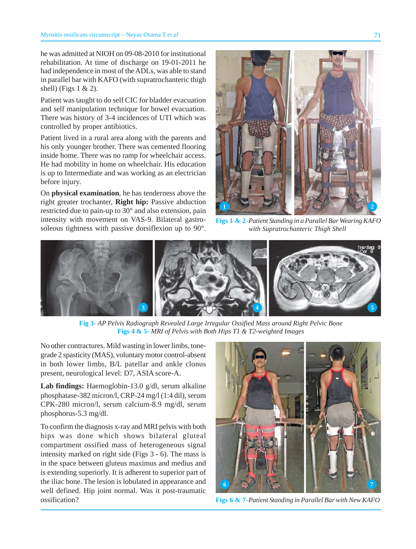he was admitted at NIOH on 09-08-2010 for institutional rehabilitation. At time of discharge on 19-01-2011 he had independence in most of the ADLs, was able to stand in parallel bar with KAFO (with supratrochanteric thigh shell) (Figs  $1 < 2$ ).

Patient was taught to do self CIC for bladder evacuation and self manipulation technique for bowel evacuation. There was history of 3-4 incidences of UTI which was controlled by proper antibiotics.

Patient lived in a rural area along with the parents and his only younger brother. There was cemented flooring inside home. There was no ramp for wheelchair access. He had mobility in home on wheelchair. His education is up to Intermediate and was working as an electrician before injury.

On **physical examination**, he has tenderness above the right greater trochanter, **Right hip:** Passive abduction restricted due to pain-up to 30° and also extension, pain intensity with movement on VAS-9. Bilateral gastrosoleous tightness with passive dorsiflexion up to 90°.



**Figs 1 & 2-***Patient Standing in a Parallel Bar Wearing KAFO with Supratrochanteric Thigh Shell*



**Fig 3-** *AP Pelvis Radiograph Revealed Large Irregular Ossified Mass around Right Pelvic Bone* **Figs 4 & 5-** *MRI of Pelvis with Both Hips T1 & T2-weighted Images*

No other contractures. Mild wasting in lower limbs, tonegrade 2 spasticity (MAS), voluntary motor control-absent in both lower limbs, B/L patellar and ankle clonus present, neurological level: D7, ASIA score-A.

**Lab findings:** Haemoglobin-13.0 g/dl, serum alkaline phosphatase-382 micron/l, CRP-24 mg/l (1:4 dil), serum CPK-280 micron/l, serum calcium-8.9 mg/dl, serum phosphorus-5.3 mg/dl.

To confirm the diagnosis x-ray and MRI pelvis with both hips was done which shows bilateral gluteal compartment ossified mass of heterogeneous signal intensity marked on right side (Figs 3 - 6). The mass is in the space between gluteus maximus and medius and is extending superiorly. It is adherent to superior part of the iliac bone. The lesion is lobulated in appearance and well defined. Hip joint normal. Was it post-traumatic ossification?



**Figs 6 & 7-***Patient Standing in Parallel Bar with New KAFO*